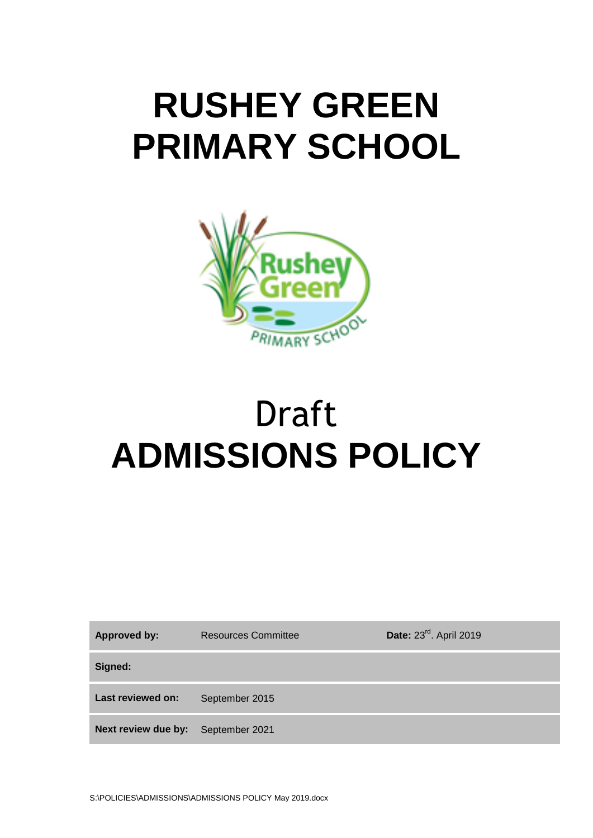## **RUSHEY GREEN PRIMARY SCHOOL**



# Draft **ADMISSIONS POLICY**

| <b>Approved by:</b> | <b>Resources Committee</b> | Date: 23rd. April 2019 |
|---------------------|----------------------------|------------------------|
| Signed:             |                            |                        |
| Last reviewed on:   | September 2015             |                        |
| Next review due by: | September 2021             |                        |